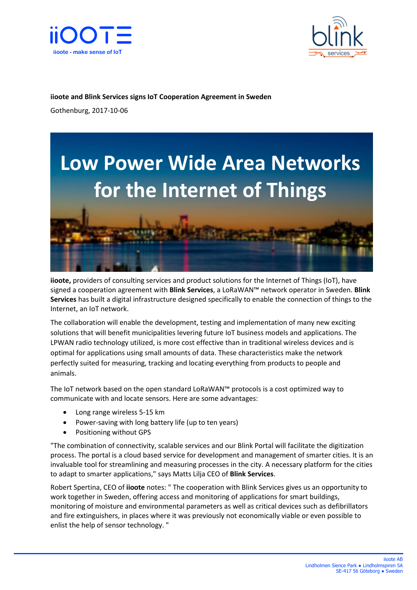



## **iioote and Blink Services signs IoT Cooperation Agreement in Sweden**

Gothenburg, 2017-10-06



**iioote,** providers of consulting services and product solutions for the Internet of Things (IoT), have signed a cooperation agreement with **Blink Services**, a LoRaWAN™ network operator in Sweden. **Blink Services** has built a digital infrastructure designed specifically to enable the connection of things to the Internet, an IoT network.

The collaboration will enable the development, testing and implementation of many new exciting solutions that will benefit municipalities levering future IoT business models and applications. The LPWAN radio technology utilized, is more cost effective than in traditional wireless devices and is optimal for applications using small amounts of data. These characteristics make the network perfectly suited for measuring, tracking and locating everything from products to people and animals.

The IoT network based on the open standard LoRaWAN™ protocols is a cost optimized way to communicate with and locate sensors. Here are some advantages:

- Long range wireless 5-15 km
- Power-saving with long battery life (up to ten years)
- Positioning without GPS

"The combination of connectivity, scalable services and our Blink Portal will facilitate the digitization process. The portal is a cloud based service for development and management of smarter cities. It is an invaluable tool for streamlining and measuring processes in the city. A necessary platform for the cities to adapt to smarter applications," says Matts Lilja CEO of **Blink Services**.

Robert Spertina, CEO of **iioote** notes: " The cooperation with Blink Services gives us an opportunity to work together in Sweden, offering access and monitoring of applications for smart buildings, monitoring of moisture and environmental parameters as well as critical devices such as defibrillators and fire extinguishers, in places where it was previously not economically viable or even possible to enlist the help of sensor technology. "